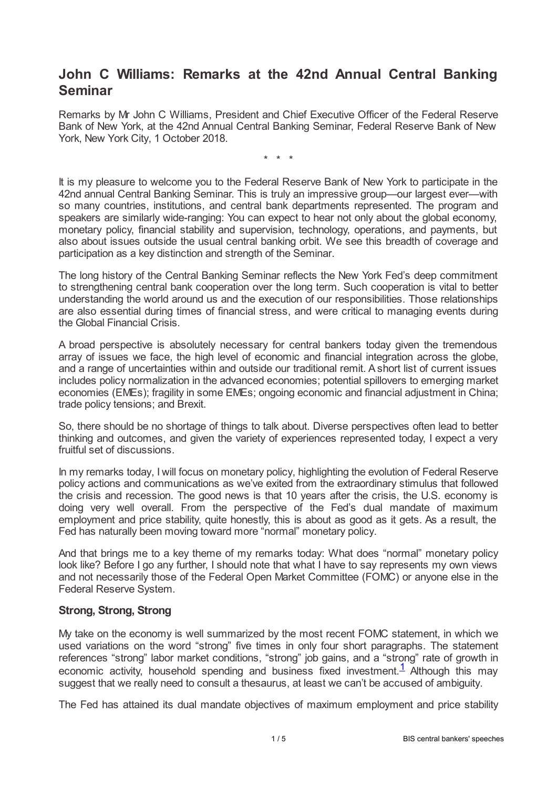# **John C Williams: Remarks at the 42nd Annual Central Banking Seminar**

Remarks by Mr John C Williams, President and Chief Executive Officer of the Federal Reserve Bank of New York, at the 42nd Annual Central Banking Seminar, Federal Reserve Bank of New York, New York City, 1 October 2018.

\* \* \*

It is my pleasure to welcome you to the Federal Reserve Bank of New York to participate in the 42nd annual Central Banking Seminar. This is truly an impressive group—our largest ever—with so many countries, institutions, and central bank departments represented. The program and speakers are similarly wide-ranging: You can expect to hear not only about the global economy, monetary policy, financial stability and supervision, technology, operations, and payments, but also about issues outside the usual central banking orbit. We see this breadth of coverage and participation as a key distinction and strength of the Seminar.

The long history of the Central Banking Seminar reflects the New York Fed's deep commitment to strengthening central bank cooperation over the long term. Such cooperation is vital to better understanding the world around us and the execution of our responsibilities. Those relationships are also essential during times of financial stress, and were critical to managing events during the Global Financial Crisis.

A broad perspective is absolutely necessary for central bankers today given the tremendous array of issues we face, the high level of economic and financial integration across the globe, and a range of uncertainties within and outside our traditional remit. Ashort list of current issues includes policy normalization in the advanced economies; potential spillovers to emerging market economies (EMEs); fragility in some EMEs; ongoing economic and financial adjustment in China; trade policy tensions; and Brexit.

So, there should be no shortage of things to talk about. Diverse perspectives often lead to better thinking and outcomes, and given the variety of experiences represented today, I expect a very fruitful set of discussions.

In my remarks today, I will focus on monetary policy, highlighting the evolution of Federal Reserve policy actions and communications as we've exited from the extraordinary stimulus that followed the crisis and recession. The good news is that 10 years after the crisis, the U.S. economy is doing very well overall. From the perspective of the Fed's dual mandate of maximum employment and price stability, quite honestly, this is about as good as it gets. As a result, the Fed has naturally been moving toward more "normal" monetary policy.

And that brings me to a key theme of my remarks today: What does "normal" monetary policy look like? Before I go any further, I should note that what I have to say represents my own views and not necessarily those of the Federal Open Market Committee (FOMC) or anyone else in the Federal Reserve System.

#### **Strong, Strong, Strong**

My take on the economy is well summarized by the most recent FOMC statement, in which we used variations on the word "strong" five times in only four short paragraphs. The statement references "strong" labor market conditions, "strong" job gains, and a "strong" rate of growth in economic activity, household spending and business fixed investment. $\frac{1}{1}$  $\frac{1}{1}$  $\frac{1}{1}$  Although this may suggest that we really need to consult a thesaurus, at least we can't be accused of ambiguity.

<span id="page-0-0"></span>The Fed has attained its dual mandate objectives of maximum employment and price stability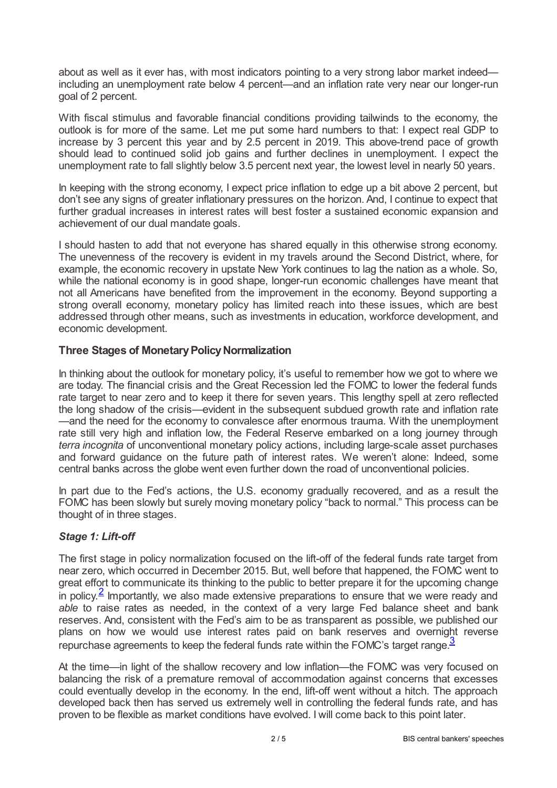about as well as it ever has, with most indicators pointing to a very strong labor market indeed including an unemployment rate below 4 percent—and an inflation rate very near our longer-run goal of 2 percent.

With fiscal stimulus and favorable financial conditions providing tailwinds to the economy, the outlook is for more of the same. Let me put some hard numbers to that: I expect real GDP to increase by 3 percent this year and by 2.5 percent in 2019. This above-trend pace of growth should lead to continued solid job gains and further declines in unemployment. I expect the unemployment rate to fall slightly below 3.5 percent next year, the lowest level in nearly 50 years.

In keeping with the strong economy, I expect price inflation to edge up a bit above 2 percent, but don't see any signs of greater inflationary pressures on the horizon. And, I continue to expect that further gradual increases in interest rates will best foster a sustained economic expansion and achievement of our dual mandate goals.

I should hasten to add that not everyone has shared equally in this otherwise strong economy. The unevenness of the recovery is evident in my travels around the Second District, where, for example, the economic recovery in upstate New York continues to lag the nation as a whole. So, while the national economy is in good shape, longer-run economic challenges have meant that not all Americans have benefited from the improvement in the economy. Beyond supporting a strong overall economy, monetary policy has limited reach into these issues, which are best addressed through other means, such as investments in education, workforce development, and economic development.

## **Three Stages of Monetary Policy Normalization**

In thinking about the outlook for monetary policy, it's useful to remember how we got to where we are today. The financial crisis and the Great Recession led the FOMC to lower the federal funds rate target to near zero and to keep it there for seven years. This lengthy spell at zero reflected the long shadow of the crisis—evident in the subsequent subdued growth rate and inflation rate —and the need for the economy to convalesce after enormous trauma. With the unemployment rate still very high and inflation low, the Federal Reserve embarked on a long journey through *terra incognita* of unconventional monetary policy actions, including large-scale asset purchases and forward guidance on the future path of interest rates. We weren't alone: Indeed, some central banks across the globe went even further down the road of unconventional policies.

In part due to the Fed's actions, the U.S. economy gradually recovered, and as a result the FOMC has been slowly but surely moving monetary policy "back to normal." This process can be thought of in three stages.

## *Stage 1: Lift-off*

<span id="page-1-0"></span>The first stage in policy normalization focused on the lift-off of the federal funds rate target from near zero, which occurred in December 2015. But, well before that happened, the FOMC went to great effort to communicate its thinking to the public to better prepare it for the upcoming change in policy.<sup>[2](#page-3-1)</sup> Importantly, we also made extensive preparations to ensure that we were ready and *able* to raise rates as needed, in the context of a very large Fed balance sheet and bank reserves. And, consistent with the Fed's aim to be as transparent as possible, we published our plans on how we would use interest rates paid on bank reserves and overnight reverse repurchase agreements to keep the federal funds rate within the FOMC's target range.<sup>[3](#page-3-2)</sup>

<span id="page-1-1"></span>At the time—in light of the shallow recovery and low inflation—the FOMC was very focused on balancing the risk of a premature removal of accommodation against concerns that excesses could eventually develop in the economy. In the end, lift-off went without a hitch. The approach developed back then has served us extremely well in controlling the federal funds rate, and has proven to be flexible as market conditions have evolved. I will come back to this point later.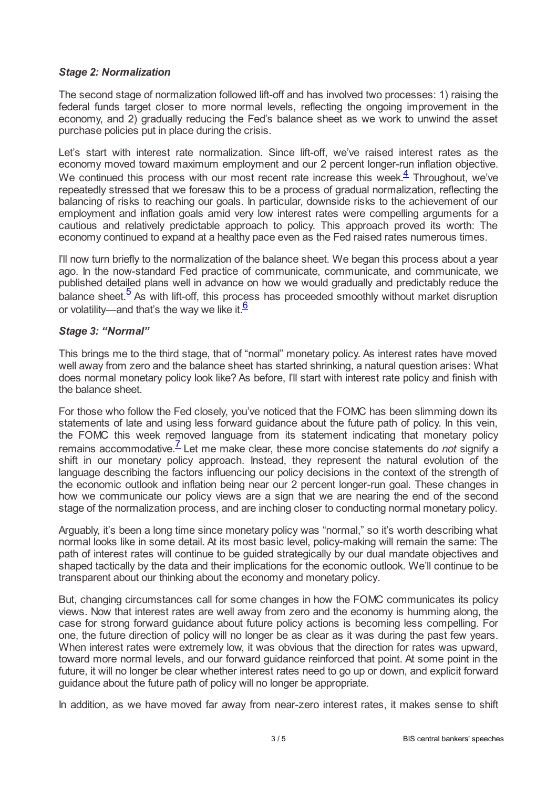#### *Stage 2: Normalization*

The second stage of normalization followed lift-off and has involved two processes: 1) raising the federal funds target closer to more normal levels, reflecting the ongoing improvement in the economy, and 2) gradually reducing the Fed's balance sheet as we work to unwind the asset purchase policies put in place during the crisis.

<span id="page-2-0"></span>Let's start with interest rate normalization. Since lift-off, we've raised interest rates as the economy moved toward maximum employment and our 2 percent longer-run inflation objective. We continued this process with our most recent rate increase this week. $\frac{4}{3}$  $\frac{4}{3}$  $\frac{4}{3}$  Throughout, we've repeatedly stressed that we foresaw this to be a process of gradual normalization, reflecting the balancing of risks to reaching our goals. In particular, downside risks to the achievement of our employment and inflation goals amid very low interest rates were compelling arguments for a cautious and relatively predictable approach to policy. This approach proved its worth: The economy continued to expand at a healthy pace even as the Fed raised rates numerous times.

I'll now turn briefly to the normalization of the balance sheet. We began this process about a year ago. In the now-standard Fed practice of communicate, communicate, and communicate, we published detailed plans well in advance on how we would gradually and predictably reduce the balance sheet. $\frac{5}{2}$  $\frac{5}{2}$  $\frac{5}{2}$  As with lift-off, this process has proceeded smoothly without market disruption or volatility—and that's the way we like it.  $6$ 

#### <span id="page-2-2"></span><span id="page-2-1"></span>*Stage 3: "Normal"*

This brings me to the third stage, that of "normal" monetary policy. As interest rates have moved well away from zero and the balance sheet has started shrinking, a natural question arises: What does normal monetary policy look like? As before, I'll start with interest rate policy and finish with the balance sheet.

<span id="page-2-3"></span>For those who follow the Fed closely, you've noticed that the FOMC has been slimming down its statements of late and using less forward guidance about the future path of policy. In this vein, the FOMC this week removed language from its statement indicating that monetary policy remains accommodative.<sup>[7](#page-3-6)</sup> Let me make clear, these more concise statements do *not* signify a shift in our monetary policy approach. Instead, they represent the natural evolution of the language describing the factors influencing our policy decisions in the context of the strength of the economic outlook and inflation being near our 2 percent longer-run goal. These changes in how we communicate our policy views are a sign that we are nearing the end of the second stage of the normalization process, and are inching closer to conducting normal monetary policy.

Arguably, it's been a long time since monetary policy was "normal," so it's worth describing what normal looks like in some detail. At its most basic level, policy-making will remain the same: The path of interest rates will continue to be guided strategically by our dual mandate objectives and shaped tactically by the data and their implications for the economic outlook. We'll continue to be transparent about our thinking about the economy and monetary policy.

But, changing circumstances call for some changes in how the FOMC communicates its policy views. Now that interest rates are well away from zero and the economy is humming along, the case for strong forward guidance about future policy actions is becoming less compelling. For one, the future direction of policy will no longer be as clear as it was during the past few years. When interest rates were extremely low, it was obvious that the direction for rates was upward, toward more normal levels, and our forward guidance reinforced that point. At some point in the future, it will no longer be clear whether interest rates need to go up or down, and explicit forward guidance about the future path of policy will no longer be appropriate.

In addition, as we have moved far away from near-zero interest rates, it makes sense to shift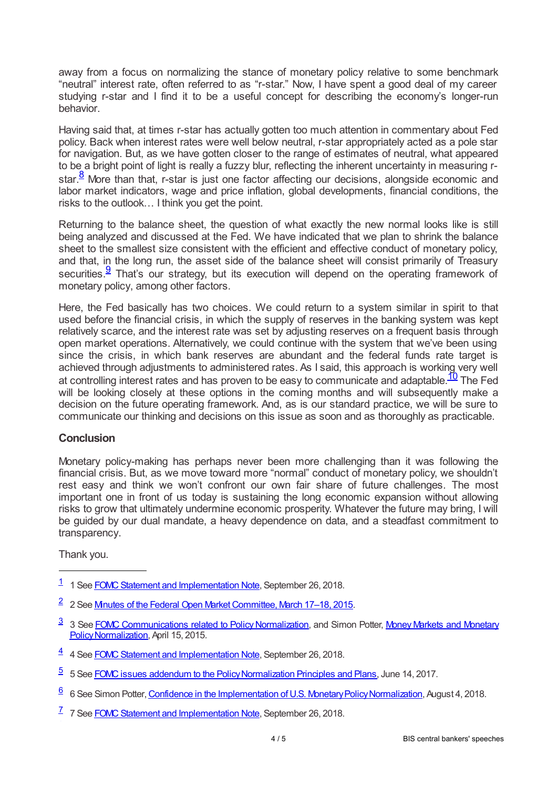away from a focus on normalizing the stance of monetary policy relative to some benchmark "neutral" interest rate, often referred to as "r-star." Now, I have spent a good deal of my career studying r-star and I find it to be a useful concept for describing the economy's longer-run behavior.

Having said that, at times r-star has actually gotten too much attention in commentary about Fed policy. Back when interest rates were well below neutral, r-star appropriately acted as a pole star for navigation. But, as we have gotten closer to the range of estimates of neutral, what appeared to be a bright point of light is really a fuzzy blur, reflecting the inherent uncertainty in measuring rstar. $\frac{8}{3}$  $\frac{8}{3}$  $\frac{8}{3}$  More than that, r-star is just one factor affecting our decisions, alongside economic and labor market indicators, wage and price inflation, global developments, financial conditions, the risks to the outlook… I think you get the point.

<span id="page-3-7"></span>Returning to the balance sheet, the question of what exactly the new normal looks like is still being analyzed and discussed at the Fed. We have indicated that we plan to shrink the balance sheet to the smallest size consistent with the efficient and effective conduct of monetary policy, and that, in the long run, the asset side of the balance sheet will consist primarily of Treasury securities. $9$  That's our strategy, but its execution will depend on the operating framework of monetary policy, among other factors.

<span id="page-3-8"></span>Here, the Fed basically has two choices. We could return to a system similar in spirit to that used before the financial crisis, in which the supply of reserves in the banking system was kept relatively scarce, and the interest rate was set by adjusting reserves on a frequent basis through open market operations. Alternatively, we could continue with the system that we've been using since the crisis, in which bank reserves are abundant and the federal funds rate target is achieved through adjustments to administered rates. As I said, this approach is working very well at controlling interest rates and has proven to be easy to communicate and adaptable.  $\frac{10}{10}$  $\frac{10}{10}$  $\frac{10}{10}$  The Fed will be looking closely at these options in the coming months and will subsequently make a decision on the future operating framework. And, as is our standard practice, we will be sure to communicate our thinking and decisions on this issue as soon and as thoroughly as practicable.

## <span id="page-3-9"></span>**Conclusion**

Monetary policy-making has perhaps never been more challenging than it was following the financial crisis. But, as we move toward more "normal" conduct of monetary policy, we shouldn't rest easy and think we won't confront our own fair share of future challenges. The most important one in front of us today is sustaining the long economic expansion without allowing risks to grow that ultimately undermine economic prosperity. Whatever the future may bring, I will be guided by our dual mandate, a heavy dependence on data, and a steadfast commitment to transparency.

Thank you.

- <span id="page-3-2"></span><sup>[3](#page-1-1)</sup> 3 See FOMC Communications related to Policy Normalization, and Simon Potter, Money Markets and Monetary Policy Normalization, April 15, 2015.
- <span id="page-3-3"></span>[4](#page-2-0) 4 See FOMC Statement and Implementation Note, September 26, 2018.
- <span id="page-3-4"></span>[5](#page-2-1) 5 See FOMC issues addendum to the Policy Normalization Principles and Plans, June 14, 2017.
- <span id="page-3-5"></span>[6](#page-2-2) 6 See Simon Potter, Confidence in the Implementation of U.S. Monetary Policy Normalization, August 4, 2018.
- <span id="page-3-6"></span><sup>[7](#page-2-3)</sup> 7 See FOMC Statement and Implementation Note, September 26, 2018.

<span id="page-3-0"></span><sup>&</sup>lt;sup>[1](#page-0-0)</sup> 1 See FOMC Statement and Implementation Note, September 26, 2018.

<span id="page-3-1"></span><sup>&</sup>lt;sup>[2](#page-1-0)</sup> 2 See Mnutes of the Federal Open Market Committee, March 17–18, 2015.